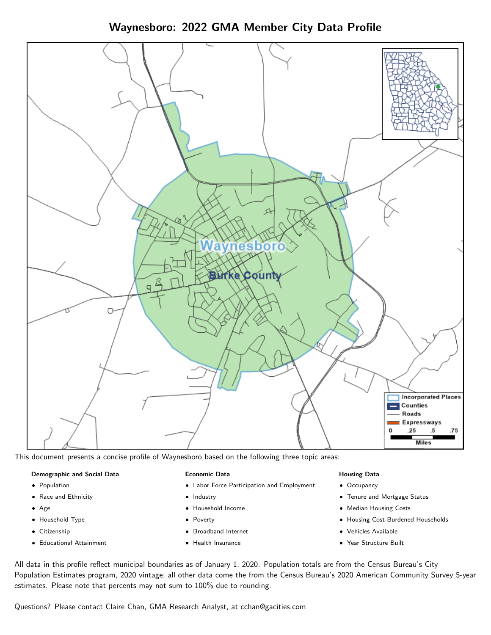Waynesboro: 2022 GMA Member City Data Profile



This document presents a concise profile of Waynesboro based on the following three topic areas:

## Demographic and Social Data

- **•** Population
- Race and Ethnicity
- Age
- Household Type
- **Citizenship**
- Educational Attainment

## Economic Data

- Labor Force Participation and Employment
- Industry
- Household Income
- Poverty
- Broadband Internet
- Health Insurance

## Housing Data

- Occupancy
- Tenure and Mortgage Status
- Median Housing Costs
- Housing Cost-Burdened Households
- Vehicles Available
- Year Structure Built

All data in this profile reflect municipal boundaries as of January 1, 2020. Population totals are from the Census Bureau's City Population Estimates program, 2020 vintage; all other data come the from the Census Bureau's 2020 American Community Survey 5-year estimates. Please note that percents may not sum to 100% due to rounding.

Questions? Please contact Claire Chan, GMA Research Analyst, at [cchan@gacities.com.](mailto:cchan@gacities.com)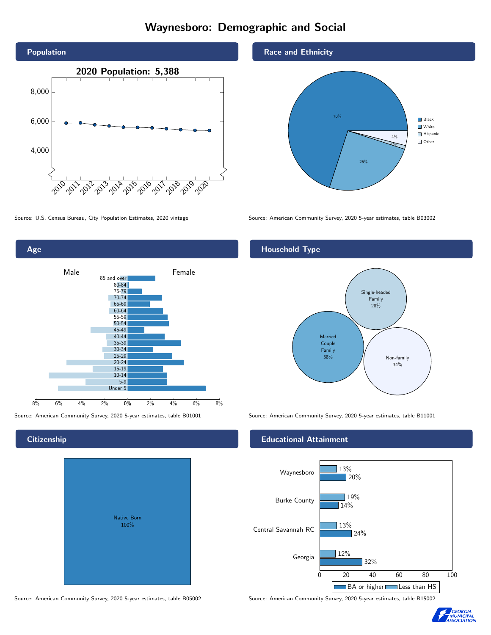# Waynesboro: Demographic and Social





# **Citizenship**

| Native Born<br>100% |  |
|---------------------|--|
|                     |  |

Race and Ethnicity



Source: U.S. Census Bureau, City Population Estimates, 2020 vintage Source: American Community Survey, 2020 5-year estimates, table B03002

# Household Type



Source: American Community Survey, 2020 5-year estimates, table B01001 Source: American Community Survey, 2020 5-year estimates, table B11001

#### Educational Attainment



Source: American Community Survey, 2020 5-year estimates, table B05002 Source: American Community Survey, 2020 5-year estimates, table B15002

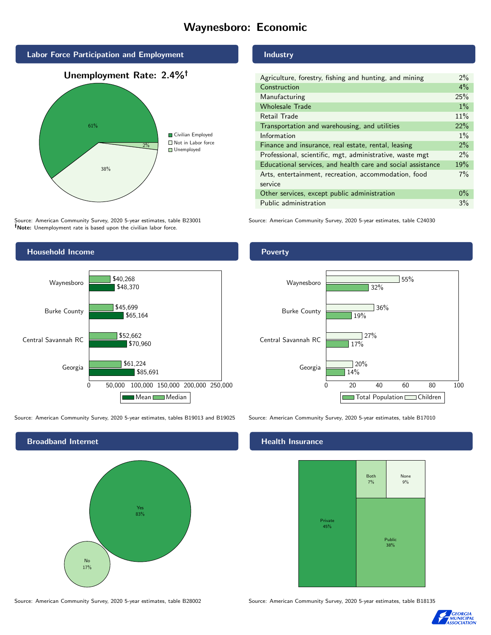# Waynesboro: Economic





Source: American Community Survey, 2020 5-year estimates, table B23001 Note: Unemployment rate is based upon the civilian labor force.



Source: American Community Survey, 2020 5-year estimates, tables B19013 and B19025 Source: American Community Survey, 2020 5-year estimates, table B17010



Source: American Community Survey, 2020 5-year estimates, table B28002 Source: American Community Survey, 2020 5-year estimates, table B18135

# Industry

| Agriculture, forestry, fishing and hunting, and mining      | 2%    |
|-------------------------------------------------------------|-------|
| Construction                                                | 4%    |
| Manufacturing                                               | 25%   |
| <b>Wholesale Trade</b>                                      | $1\%$ |
| Retail Trade                                                | 11%   |
| Transportation and warehousing, and utilities               |       |
| Information                                                 |       |
| Finance and insurance, real estate, rental, leasing         |       |
| Professional, scientific, mgt, administrative, waste mgt    | $2\%$ |
| Educational services, and health care and social assistance |       |
| Arts, entertainment, recreation, accommodation, food        |       |
| service                                                     |       |
| Other services, except public administration                |       |
| Public administration                                       |       |

Source: American Community Survey, 2020 5-year estimates, table C24030

## Poverty



#### Health Insurance